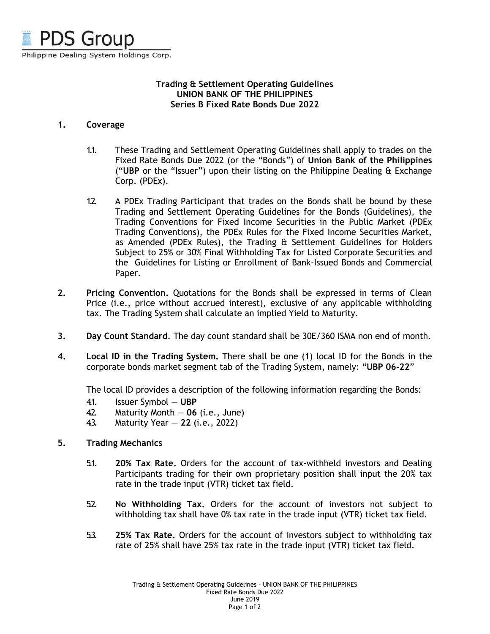

## **Trading & Settlement Operating Guidelines UNION BANK OF THE PHILIPPINES Series B Fixed Rate Bonds Due 2022**

## **1. Coverage**

- 1.1. These Trading and Settlement Operating Guidelines shall apply to trades on the Fixed Rate Bonds Due 2022 (or the "Bonds") of **Union Bank of the Philippines** ("**UBP** or the "Issuer") upon their listing on the Philippine Dealing & Exchange Corp. (PDEx).
- 1.2. A PDEx Trading Participant that trades on the Bonds shall be bound by these Trading and Settlement Operating Guidelines for the Bonds (Guidelines), the Trading Conventions for Fixed Income Securities in the Public Market (PDEx Trading Conventions), the PDEx Rules for the Fixed Income Securities Market, as Amended (PDEx Rules), the Trading & Settlement Guidelines for Holders Subject to 25% or 30% Final Withholding Tax for Listed Corporate Securities and the Guidelines for Listing or Enrollment of Bank-Issued Bonds and Commercial Paper.
- **2. Pricing Convention.** Quotations for the Bonds shall be expressed in terms of Clean Price (i.e., price without accrued interest), exclusive of any applicable withholding tax. The Trading System shall calculate an implied Yield to Maturity.
- **3. Day Count Standard**. The day count standard shall be 30E/360 ISMA non end of month.
- **4. Local ID in the Trading System.** There shall be one (1) local ID for the Bonds in the corporate bonds market segment tab of the Trading System, namely: "**UBP 06-22**"

The local ID provides a description of the following information regarding the Bonds:

- 4.1. Issuer Symbol **UBP**
- 4.2. Maturity Month **06** (i.e., June)
- 4.3. Maturity Year **22** (i.e., 2022)

## **5. Trading Mechanics**

- 5.1. **20% Tax Rate.** Orders for the account of tax-withheld investors and Dealing Participants trading for their own proprietary position shall input the 20% tax rate in the trade input (VTR) ticket tax field.
- 5.2. **No Withholding Tax.** Orders for the account of investors not subject to withholding tax shall have 0% tax rate in the trade input (VTR) ticket tax field.
- 5.3. **25% Tax Rate.** Orders for the account of investors subject to withholding tax rate of 25% shall have 25% tax rate in the trade input (VTR) ticket tax field.